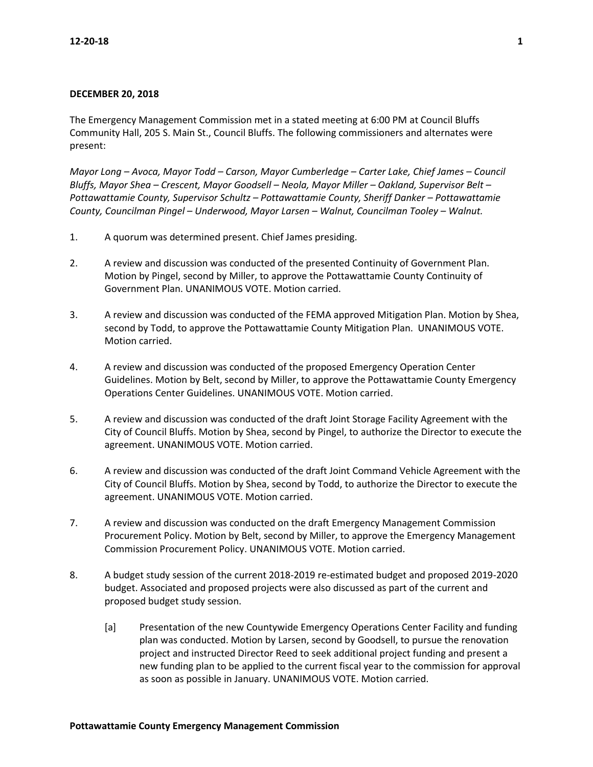## **DECEMBER 20, 2018**

The Emergency Management Commission met in a stated meeting at 6:00 PM at Council Bluffs Community Hall, 205 S. Main St., Council Bluffs. The following commissioners and alternates were present:

*Mayor Long – Avoca, Mayor Todd – Carson, Mayor Cumberledge – Carter Lake, Chief James – Council Bluffs, Mayor Shea – Crescent, Mayor Goodsell – Neola, Mayor Miller – Oakland, Supervisor Belt – Pottawattamie County, Supervisor Schultz – Pottawattamie County, Sheriff Danker – Pottawattamie County, Councilman Pingel – Underwood, Mayor Larsen – Walnut, Councilman Tooley – Walnut.* 

- 1. A quorum was determined present. Chief James presiding.
- 2. A review and discussion was conducted of the presented Continuity of Government Plan. Motion by Pingel, second by Miller, to approve the Pottawattamie County Continuity of Government Plan. UNANIMOUS VOTE. Motion carried.
- 3. A review and discussion was conducted of the FEMA approved Mitigation Plan. Motion by Shea, second by Todd, to approve the Pottawattamie County Mitigation Plan. UNANIMOUS VOTE. Motion carried.
- 4. A review and discussion was conducted of the proposed Emergency Operation Center Guidelines. Motion by Belt, second by Miller, to approve the Pottawattamie County Emergency Operations Center Guidelines. UNANIMOUS VOTE. Motion carried.
- 5. A review and discussion was conducted of the draft Joint Storage Facility Agreement with the City of Council Bluffs. Motion by Shea, second by Pingel, to authorize the Director to execute the agreement. UNANIMOUS VOTE. Motion carried.
- 6. A review and discussion was conducted of the draft Joint Command Vehicle Agreement with the City of Council Bluffs. Motion by Shea, second by Todd, to authorize the Director to execute the agreement. UNANIMOUS VOTE. Motion carried.
- 7. A review and discussion was conducted on the draft Emergency Management Commission Procurement Policy. Motion by Belt, second by Miller, to approve the Emergency Management Commission Procurement Policy. UNANIMOUS VOTE. Motion carried.
- 8. A budget study session of the current 2018-2019 re-estimated budget and proposed 2019-2020 budget. Associated and proposed projects were also discussed as part of the current and proposed budget study session.
	- [a] Presentation of the new Countywide Emergency Operations Center Facility and funding plan was conducted. Motion by Larsen, second by Goodsell, to pursue the renovation project and instructed Director Reed to seek additional project funding and present a new funding plan to be applied to the current fiscal year to the commission for approval as soon as possible in January. UNANIMOUS VOTE. Motion carried.